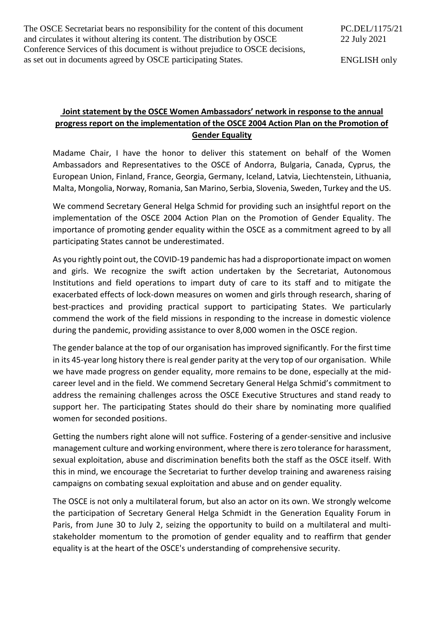The OSCE Secretariat bears no responsibility for the content of this document and circulates it without altering its content. The distribution by OSCE Conference Services of this document is without prejudice to OSCE decisions, as set out in documents agreed by OSCE participating States.

ENGLISH only

## **Joint statement by the OSCE Women Ambassadors' network in response to the annual progress report on the implementation of the OSCE 2004 Action Plan on the Promotion of Gender Equality**

Madame Chair, I have the honor to deliver this statement on behalf of the Women Ambassadors and Representatives to the OSCE of Andorra, Bulgaria, Canada, Cyprus, the European Union, Finland, France, Georgia, Germany, Iceland, Latvia, Liechtenstein, Lithuania, Malta, Mongolia, Norway, Romania, San Marino, Serbia, Slovenia, Sweden, Turkey and the US.

We commend Secretary General Helga Schmid for providing such an insightful report on the implementation of the OSCE 2004 Action Plan on the Promotion of Gender Equality. The importance of promoting gender equality within the OSCE as a commitment agreed to by all participating States cannot be underestimated.

As you rightly point out, the COVID-19 pandemic has had a disproportionate impact on women and girls. We recognize the swift action undertaken by the Secretariat, Autonomous Institutions and field operations to impart duty of care to its staff and to mitigate the exacerbated effects of lock-down measures on women and girls through research, sharing of best-practices and providing practical support to participating States. We particularly commend the work of the field missions in responding to the increase in domestic violence during the pandemic, providing assistance to over 8,000 women in the OSCE region.

The gender balance at the top of our organisation has improved significantly. For the first time in its 45-year long history there is real gender parity at the very top of our organisation. While we have made progress on gender equality, more remains to be done, especially at the midcareer level and in the field. We commend Secretary General Helga Schmid's commitment to address the remaining challenges across the OSCE Executive Structures and stand ready to support her. The participating States should do their share by nominating more qualified women for seconded positions.

Getting the numbers right alone will not suffice. Fostering of a gender-sensitive and inclusive management culture and working environment, where there is zero tolerance for harassment, sexual exploitation, abuse and discrimination benefits both the staff as the OSCE itself. With this in mind, we encourage the Secretariat to further develop training and awareness raising campaigns on combating sexual exploitation and abuse and on gender equality.

The OSCE is not only a multilateral forum, but also an actor on its own. We strongly welcome the participation of Secretary General Helga Schmidt in the Generation Equality Forum in Paris, from June 30 to July 2, seizing the opportunity to build on a multilateral and multistakeholder momentum to the promotion of gender equality and to reaffirm that gender equality is at the heart of the OSCE's understanding of comprehensive security.